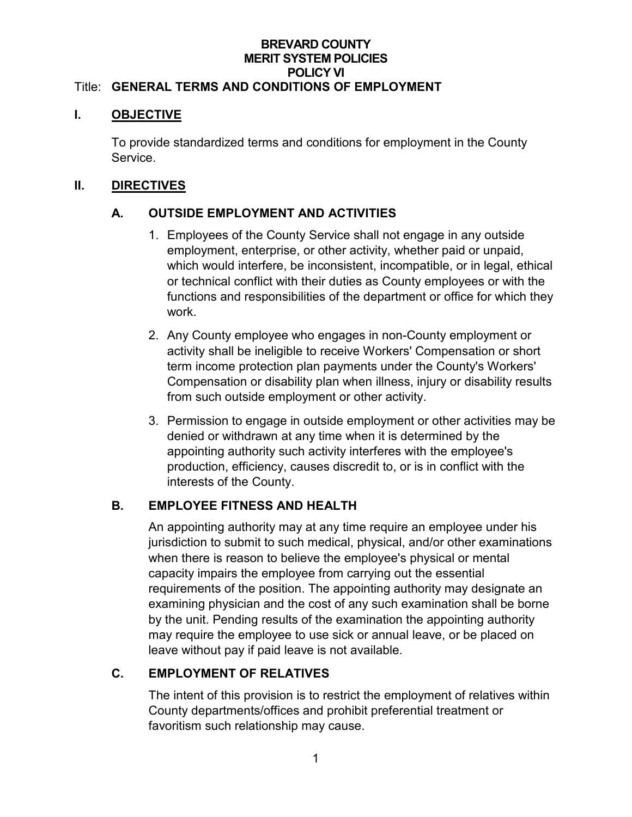#### **BREVARD COUNTY MERIT SYSTEM POLICIES POLICY VI** Title: **GENERAL TERMS AND CONDITIONS OF EMPLOYMENT**

#### **I. OBJECTIVE**

To provide standardized terms and conditions for employment in the County Service.

### **II. DIRECTIVES**

# **A. OUTSIDE EMPLOYMENT AND ACTIVITIES**

- 1. Employees of the County Service shall not engage in any outside employment, enterprise, or other activity, whether paid or unpaid, which would interfere, be inconsistent, incompatible, or in legal, ethical or technical conflict with their duties as County employees or with the functions and responsibilities of the department or office for which they work.
- 2. Any County employee who engages in non-County employment or activity shall be ineligible to receive Workers' Compensation or short term income protection plan payments under the County's Workers' Compensation or disability plan when illness, injury or disability results from such outside employment or other activity.
- 3. Permission to engage in outside employment or other activities may be denied or withdrawn at any time when it is determined by the appointing authority such activity interferes with the employee's production, efficiency, causes discredit to, or is in conflict with the interests of the County.

# **B. EMPLOYEE FITNESS AND HEALTH**

An appointing authority may at any time require an employee under his jurisdiction to submit to such medical, physical, and/or other examinations when there is reason to believe the employee's physical or mental capacity impairs the employee from carrying out the essential requirements of the position. The appointing authority may designate an examining physician and the cost of any such examination shall be borne by the unit. Pending results of the examination the appointing authority may require the employee to use sick or annual leave, or be placed on leave without pay if paid leave is not available.

# **C. EMPLOYMENT OF RELATIVES**

The intent of this provision is to restrict the employment of relatives within County departments/offices and prohibit preferential treatment or favoritism such relationship may cause.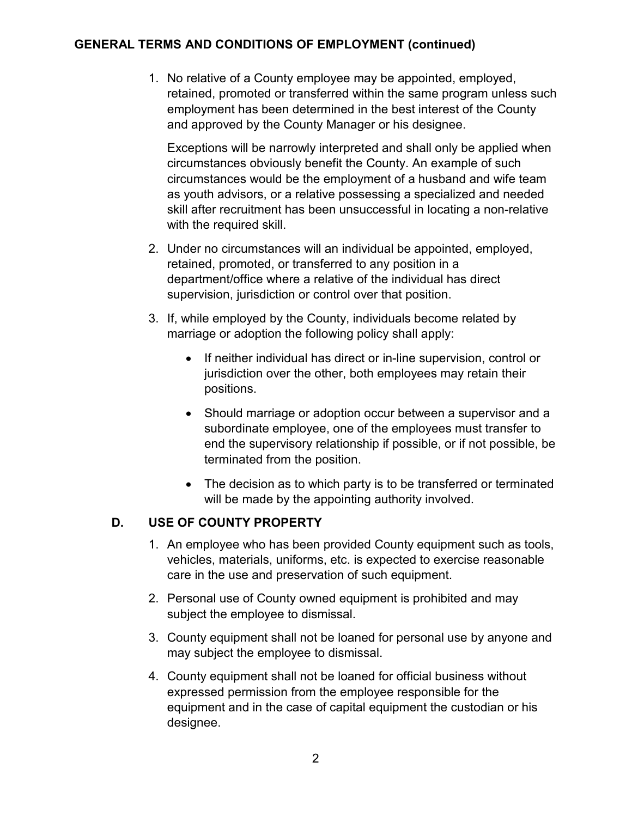### **GENERAL TERMS AND CONDITIONS OF EMPLOYMENT (continued)**

1. No relative of a County employee may be appointed, employed, retained, promoted or transferred within the same program unless such employment has been determined in the best interest of the County and approved by the County Manager or his designee.

Exceptions will be narrowly interpreted and shall only be applied when circumstances obviously benefit the County. An example of such circumstances would be the employment of a husband and wife team as youth advisors, or a relative possessing a specialized and needed skill after recruitment has been unsuccessful in locating a non-relative with the required skill.

- 2. Under no circumstances will an individual be appointed, employed, retained, promoted, or transferred to any position in a department/office where a relative of the individual has direct supervision, jurisdiction or control over that position.
- 3. If, while employed by the County, individuals become related by marriage or adoption the following policy shall apply:
	- If neither individual has direct or in-line supervision, control or jurisdiction over the other, both employees may retain their positions.
	- Should marriage or adoption occur between a supervisor and a subordinate employee, one of the employees must transfer to end the supervisory relationship if possible, or if not possible, be terminated from the position.
	- The decision as to which party is to be transferred or terminated will be made by the appointing authority involved.

### **D. USE OF COUNTY PROPERTY**

- 1. An employee who has been provided County equipment such as tools, vehicles, materials, uniforms, etc. is expected to exercise reasonable care in the use and preservation of such equipment.
- 2. Personal use of County owned equipment is prohibited and may subject the employee to dismissal.
- 3. County equipment shall not be loaned for personal use by anyone and may subject the employee to dismissal.
- 4. County equipment shall not be loaned for official business without expressed permission from the employee responsible for the equipment and in the case of capital equipment the custodian or his designee.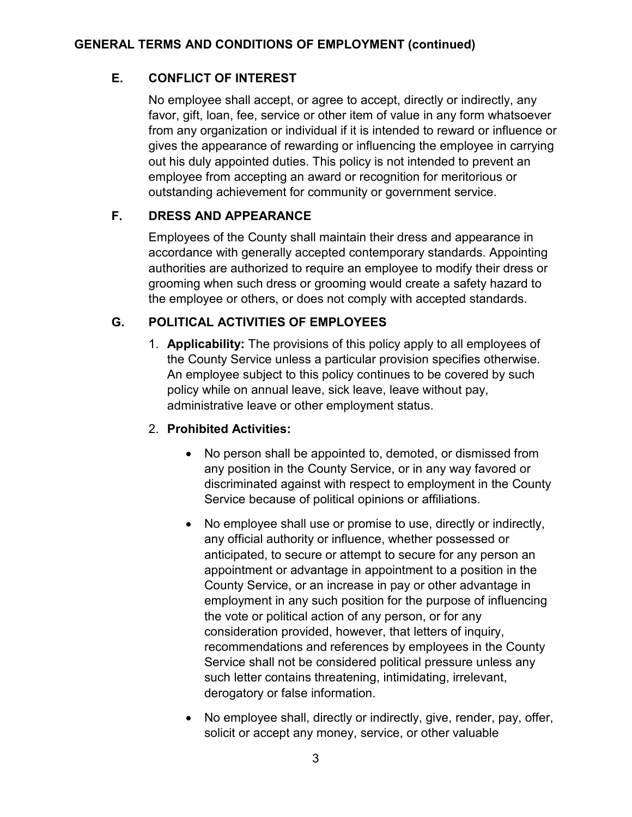### **E. CONFLICT OF INTEREST**

No employee shall accept, or agree to accept, directly or indirectly, any favor, gift, loan, fee, service or other item of value in any form whatsoever from any organization or individual if it is intended to reward or influence or gives the appearance of rewarding or influencing the employee in carrying out his duly appointed duties. This policy is not intended to prevent an employee from accepting an award or recognition for meritorious or outstanding achievement for community or government service.

# **F. DRESS AND APPEARANCE**

Employees of the County shall maintain their dress and appearance in accordance with generally accepted contemporary standards. Appointing authorities are authorized to require an employee to modify their dress or grooming when such dress or grooming would create a safety hazard to the employee or others, or does not comply with accepted standards.

### **G. POLITICAL ACTIVITIES OF EMPLOYEES**

1. **Applicability:** The provisions of this policy apply to all employees of the County Service unless a particular provision specifies otherwise. An employee subject to this policy continues to be covered by such policy while on annual leave, sick leave, leave without pay, administrative leave or other employment status.

### 2. **Prohibited Activities:**

- No person shall be appointed to, demoted, or dismissed from any position in the County Service, or in any way favored or discriminated against with respect to employment in the County Service because of political opinions or affiliations.
- No employee shall use or promise to use, directly or indirectly, any official authority or influence, whether possessed or anticipated, to secure or attempt to secure for any person an appointment or advantage in appointment to a position in the County Service, or an increase in pay or other advantage in employment in any such position for the purpose of influencing the vote or political action of any person, or for any consideration provided, however, that letters of inquiry, recommendations and references by employees in the County Service shall not be considered political pressure unless any such letter contains threatening, intimidating, irrelevant, derogatory or false information.
- No employee shall, directly or indirectly, give, render, pay, offer, solicit or accept any money, service, or other valuable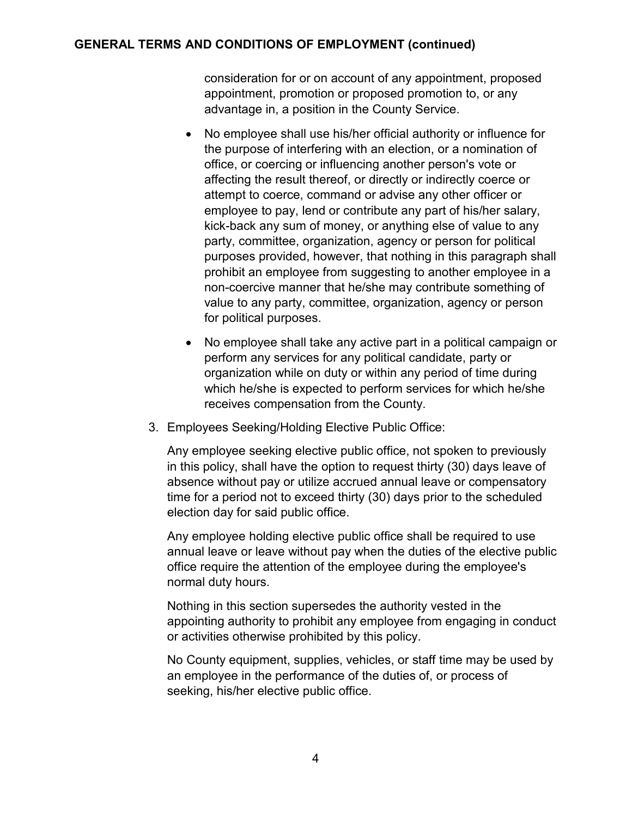#### **GENERAL TERMS AND CONDITIONS OF EMPLOYMENT (continued)**

consideration for or on account of any appointment, proposed appointment, promotion or proposed promotion to, or any advantage in, a position in the County Service.

- No employee shall use his/her official authority or influence for the purpose of interfering with an election, or a nomination of office, or coercing or influencing another person's vote or affecting the result thereof, or directly or indirectly coerce or attempt to coerce, command or advise any other officer or employee to pay, lend or contribute any part of his/her salary, kick-back any sum of money, or anything else of value to any party, committee, organization, agency or person for political purposes provided, however, that nothing in this paragraph shall prohibit an employee from suggesting to another employee in a non-coercive manner that he/she may contribute something of value to any party, committee, organization, agency or person for political purposes.
- No employee shall take any active part in a political campaign or perform any services for any political candidate, party or organization while on duty or within any period of time during which he/she is expected to perform services for which he/she receives compensation from the County.
- 3. Employees Seeking/Holding Elective Public Office:

Any employee seeking elective public office, not spoken to previously in this policy, shall have the option to request thirty (30) days leave of absence without pay or utilize accrued annual leave or compensatory time for a period not to exceed thirty (30) days prior to the scheduled election day for said public office.

Any employee holding elective public office shall be required to use annual leave or leave without pay when the duties of the elective public office require the attention of the employee during the employee's normal duty hours.

Nothing in this section supersedes the authority vested in the appointing authority to prohibit any employee from engaging in conduct or activities otherwise prohibited by this policy.

No County equipment, supplies, vehicles, or staff time may be used by an employee in the performance of the duties of, or process of seeking, his/her elective public office.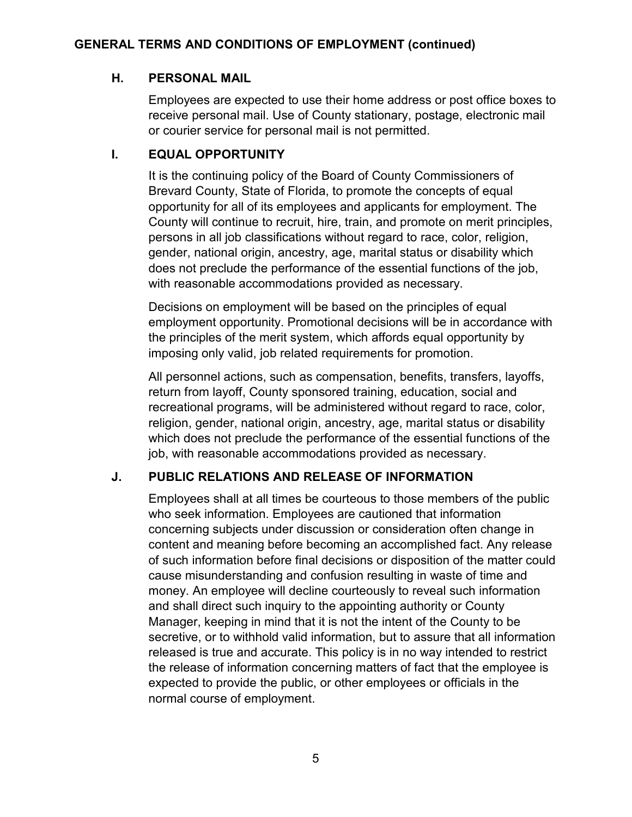### **H. PERSONAL MAIL**

Employees are expected to use their home address or post office boxes to receive personal mail. Use of County stationary, postage, electronic mail or courier service for personal mail is not permitted.

### **I. EQUAL OPPORTUNITY**

It is the continuing policy of the Board of County Commissioners of Brevard County, State of Florida, to promote the concepts of equal opportunity for all of its employees and applicants for employment. The County will continue to recruit, hire, train, and promote on merit principles, persons in all job classifications without regard to race, color, religion, gender, national origin, ancestry, age, marital status or disability which does not preclude the performance of the essential functions of the job, with reasonable accommodations provided as necessary.

Decisions on employment will be based on the principles of equal employment opportunity. Promotional decisions will be in accordance with the principles of the merit system, which affords equal opportunity by imposing only valid, job related requirements for promotion.

All personnel actions, such as compensation, benefits, transfers, layoffs, return from layoff, County sponsored training, education, social and recreational programs, will be administered without regard to race, color, religion, gender, national origin, ancestry, age, marital status or disability which does not preclude the performance of the essential functions of the job, with reasonable accommodations provided as necessary.

# **J. PUBLIC RELATIONS AND RELEASE OF INFORMATION**

Employees shall at all times be courteous to those members of the public who seek information. Employees are cautioned that information concerning subjects under discussion or consideration often change in content and meaning before becoming an accomplished fact. Any release of such information before final decisions or disposition of the matter could cause misunderstanding and confusion resulting in waste of time and money. An employee will decline courteously to reveal such information and shall direct such inquiry to the appointing authority or County Manager, keeping in mind that it is not the intent of the County to be secretive, or to withhold valid information, but to assure that all information released is true and accurate. This policy is in no way intended to restrict the release of information concerning matters of fact that the employee is expected to provide the public, or other employees or officials in the normal course of employment.